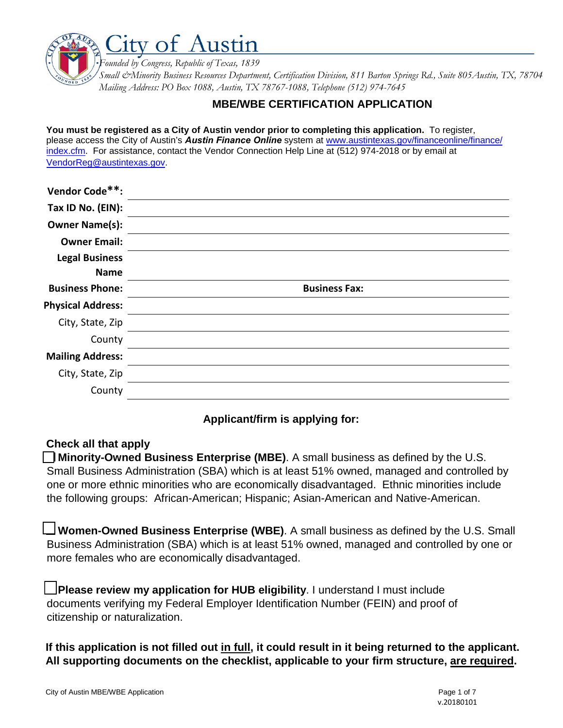

### **MBE/WBE CERTIFICATION APPLICATION**

**You must be registered as a City of Austin vendor prior to completing this application.** To register, please access the City of Austin's *Austin Finance Online* system at www.austintexas.gov/financeonline/finance/ index.cfm. For assistance, contact the Vendor Connection Help Line at (512) 974-2018 or by email at VendorReg@austintexas.gov.

| Vendor Code**:           |                      |
|--------------------------|----------------------|
| Tax ID No. (EIN):        |                      |
| <b>Owner Name(s):</b>    |                      |
| <b>Owner Email:</b>      |                      |
| <b>Legal Business</b>    |                      |
| <b>Name</b>              |                      |
| <b>Business Phone:</b>   | <b>Business Fax:</b> |
| <b>Physical Address:</b> |                      |
| City, State, Zip         |                      |
| County                   |                      |
| <b>Mailing Address:</b>  |                      |
| City, State, Zip         |                      |
| County                   |                      |

# **Applicant/firm is applying for:**

# **Check all that apply**

**Minority-Owned Business Enterprise (MBE)**. A small business as defined by the U.S. Small Business Administration (SBA) which is at least 51% owned, managed and controlled by one or more ethnic minorities who are economically disadvantaged. Ethnic minorities include the following groups: African-American; Hispanic; Asian-American and Native-American.

**Women-Owned Business Enterprise (WBE)**. A small business as defined by the U.S. Small Business Administration (SBA) which is at least 51% owned, managed and controlled by one or more females who are economically disadvantaged.

**Please review my application for HUB eligibility**. I understand I must include documents verifying my Federal Employer Identification Number (FEIN) and proof of citizenship or naturalization.

**If this application is not filled out in full, it could result in it being returned to the applicant. All supporting documents on the checklist, applicable to your firm structure, are required.**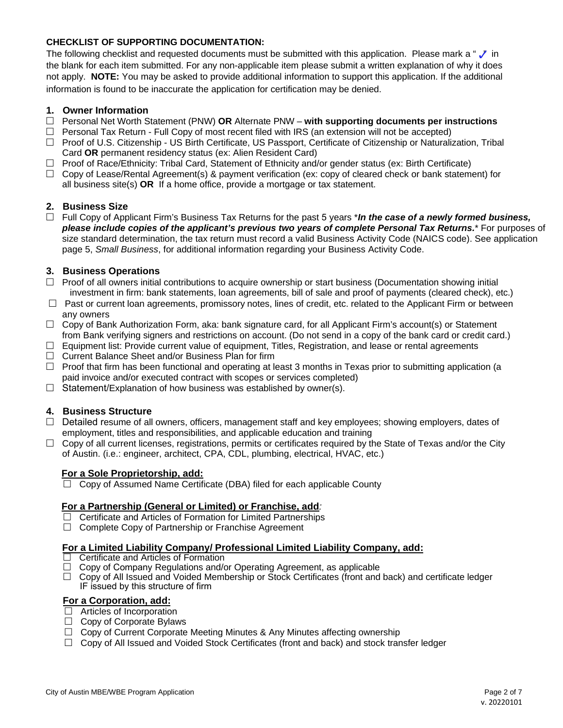### **CHECKLIST OF SUPPORTING DOCUMENTATION:**

The following checklist and requested documents must be submitted with this application. Please mark a " $\checkmark$ " in the blank for each item submitted. For any non-applicable item please submit a written explanation of why it does not apply. **NOTE:** You may be asked to provide additional information to support this application. If the additional information is found to be inaccurate the application for certification may be denied.

### **1. Owner Information**

- Personal Net Worth Statement (PNW) **OR** Alternate PNW **with supporting documents per instructions**
- $\Box$  Personal Tax Return Full Copy of most recent filed with IRS (an extension will not be accepted)
- $\Box$  Proof of U.S. Citizenship US Birth Certificate, US Passport, Certificate of Citizenship or Naturalization, Tribal Card **OR** permanent residency status (ex: Alien Resident Card)
- $\Box$  Proof of Race/Ethnicity: Tribal Card, Statement of Ethnicity and/or gender status (ex: Birth Certificate)
- $\Box$  Copy of Lease/Rental Agreement(s) & payment verification (ex: copy of cleared check or bank statement) for all business site(s) **OR** If a home office, provide a mortgage or tax statement.

### **2. Business Size**

 Full Copy of Applicant Firm's Business Tax Returns for the past 5 years \**In the case of a newly formed business, please include copies of the applicant's previous two years of complete Personal Tax Returns.*\* For purposes of size standard determination, the tax return must record a valid Business Activity Code (NAICS code). See application page 5, *Small Business*, for additional information regarding your Business Activity Code.

### **3. Business Operations**

- $\Box$  Proof of all owners initial contributions to acquire ownership or start business (Documentation showing initial investment in firm: bank statements, loan agreements, bill of sale and proof of payments (cleared check), etc.)
- $\Box$  Past or current loan agreements, promissory notes, lines of credit, etc. related to the Applicant Firm or between any owners
- $\Box$  Copy of Bank Authorization Form, aka: bank signature card, for all Applicant Firm's account(s) or Statement from Bank verifying signers and restrictions on account. (Do not send in a copy of the bank card or credit card.)
- $\Box$  Equipment list: Provide current value of equipment, Titles, Registration, and lease or rental agreements
- $\Box$  Current Balance Sheet and/or Business Plan for firm
- $\Box$  Proof that firm has been functional and operating at least 3 months in Texas prior to submitting application (a paid invoice and/or executed contract with scopes or services completed)
- $\Box$  Statement/Explanation of how business was established by owner(s).

### **4. Business Structure**

- $\Box$  Detailed resume of all owners, officers, management staff and key employees; showing employers, dates of employment, titles and responsibilities, and applicable education and training
- $\Box$  Copy of all current licenses, registrations, permits or certificates required by the State of Texas and/or the City of Austin. (i.e.: engineer, architect, CPA, CDL, plumbing, electrical, HVAC, etc.)

#### **For a Sole Proprietorship, add:**

 $\Box$  Copy of Assumed Name Certificate (DBA) filed for each applicable County

#### **For a Partnership (General or Limited) or Franchise, add***:*

- $\Box$  Certificate and Articles of Formation for Limited Partnerships
- $\Box$  Complete Copy of Partnership or Franchise Agreement

# **For a Limited Liability Company/ Professional Limited Liability Company, add:**<br>□ Certificate and Articles of Formation

- Certificate and Articles of Formation
- $\Box$  Copy of Company Regulations and/or Operating Agreement, as applicable
- $\Box$  Copy of All Issued and Voided Membership or Stock Certificates (front and back) and certificate ledger IF issued by this structure of firm

### **For a Corporation, add:**

- $\Box$  Articles of Incorporation
- $\Box$  Copy of Corporate Bylaws
- $\Box$  Copy of Current Corporate Meeting Minutes & Any Minutes affecting ownership
- $\Box$  Copy of All Issued and Voided Stock Certificates (front and back) and stock transfer ledger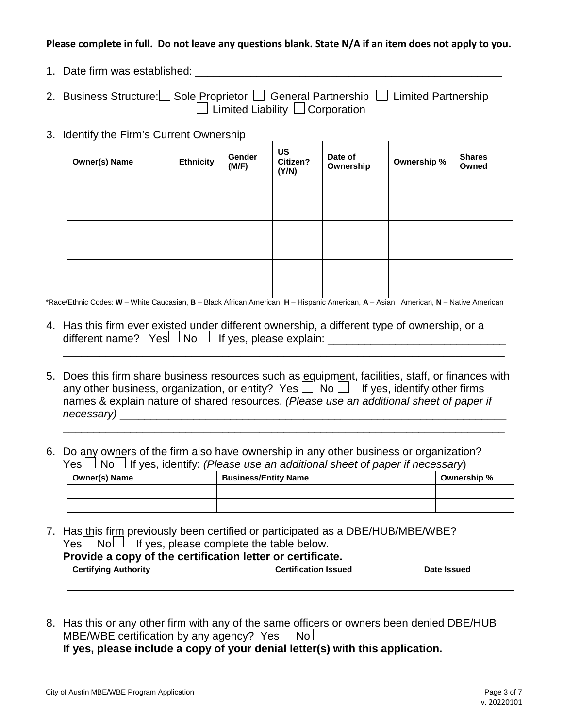### **Please complete in full. Do not leave any questions blank. State N/A if an item does not apply to you.**

- 1. Date firm was established:  $\blacksquare$
- 2. Business Structure: Sole Proprietor General Partnership G Limited Partnership  $\Box$  Limited Liability  $\Box$  Corporation
- 3. Identify the Firm's Current Ownership

| <b>Owner(s) Name</b> | <b>Ethnicity</b> | Gender<br>(M/F) | <b>US</b><br>Citizen?<br>(Y/N) | Date of<br>Ownership | Ownership % | <b>Shares</b><br>Owned |
|----------------------|------------------|-----------------|--------------------------------|----------------------|-------------|------------------------|
|                      |                  |                 |                                |                      |             |                        |
|                      |                  |                 |                                |                      |             |                        |
|                      |                  |                 |                                |                      |             |                        |

\*Race/Ethnic Codes: **W** – White Caucasian, **B** – Black African American, **H** – Hispanic American, **A** – Asian American, **N** – Native American

- 4. Has this firm ever existed under different ownership, a different type of ownership, or a different name?  $Yes \Box No \Box$  If yes, please explain:
- 5. Does this firm share business resources such as equipment, facilities, staff, or finances with any other business, organization, or entity? Yes  $\Box$  No  $\Box$  If yes, identify other firms names & explain nature of shared resources. *(Please use an additional sheet of paper if necessary*)

\_\_\_\_\_\_\_\_\_\_\_\_\_\_\_\_\_\_\_\_\_\_\_\_\_\_\_\_\_\_\_\_\_\_\_\_\_\_\_\_\_\_\_\_\_\_\_\_\_\_\_\_\_\_\_\_\_\_\_\_\_\_\_\_\_\_\_\_\_\_\_\_

\_\_\_\_\_\_\_\_\_\_\_\_\_\_\_\_\_\_\_\_\_\_\_\_\_\_\_\_\_\_\_\_\_\_\_\_\_\_\_\_\_\_\_\_\_\_\_\_\_\_\_\_\_\_\_\_\_\_\_\_\_\_\_\_\_\_\_\_\_\_\_\_

6. Do any owners of the firm also have ownership in any other business or organization?  $Yes \Box No \Box$  If yes, identify: *(Please use an additional sheet of paper if necessary*)

| Owner(s) Name | <b>Business/Entity Name</b> | Ownership % |
|---------------|-----------------------------|-------------|
|               |                             |             |
|               |                             |             |

7. Has this firm previously been certified or participated as a DBE/HUB/MBE/WBE?  $Yes \Box No \Box$  If yes, please complete the table below.

# **Provide a copy of the certification letter or certificate.**

| <b>Certifying Authority</b> | <b>Certification Issued</b> | Date Issued |
|-----------------------------|-----------------------------|-------------|
|                             |                             |             |
|                             |                             |             |

8. Has this or any other firm with any of the same officers or owners been denied DBE/HUB MBE/WBE certification by any agency? Yes  $\Box$  No  $\Box$ 

**If yes, please include a copy of your denial letter(s) with this application.**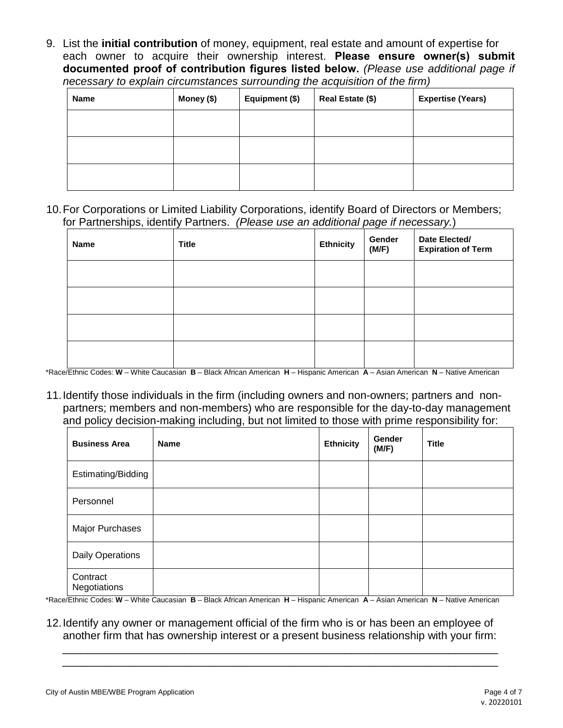9. List the **initial contribution** of money, equipment, real estate and amount of expertise for each owner to acquire their ownership interest. **Please ensure owner(s) submit documented proof of contribution figures listed below.** *(Please use additional page if necessary to explain circumstances surrounding the acquisition of the firm)*

| <b>Name</b> | Money (\$) | Equipment (\$) | Real Estate (\$) | <b>Expertise (Years)</b> |
|-------------|------------|----------------|------------------|--------------------------|
|             |            |                |                  |                          |
|             |            |                |                  |                          |
|             |            |                |                  |                          |

10.For Corporations or Limited Liability Corporations, identify Board of Directors or Members; for Partnerships, identify Partners. *(Please use an additional page if necessary.*)

| <b>Name</b> | <b>Title</b> | <b>Ethnicity</b> | ັ<br>Gender<br>(M/F) | Date Elected/<br><b>Expiration of Term</b> |
|-------------|--------------|------------------|----------------------|--------------------------------------------|
|             |              |                  |                      |                                            |
|             |              |                  |                      |                                            |
|             |              |                  |                      |                                            |
|             |              |                  |                      |                                            |

\*Race/Ethnic Codes: **W** – White Caucasian **B** – Black African American **H** – Hispanic American **A** – Asian American **N** – Native American

11.Identify those individuals in the firm (including owners and non-owners; partners and nonpartners; members and non-members) who are responsible for the day-to-day management and policy decision-making including, but not limited to those with prime responsibility for:

| <b>Business Area</b>     | <b>Name</b> | <b>Ethnicity</b> | Gender<br>(M/F) | <b>Title</b> |
|--------------------------|-------------|------------------|-----------------|--------------|
| Estimating/Bidding       |             |                  |                 |              |
| Personnel                |             |                  |                 |              |
| Major Purchases          |             |                  |                 |              |
| <b>Daily Operations</b>  |             |                  |                 |              |
| Contract<br>Negotiations |             |                  |                 |              |

\*Race/Ethnic Codes: **W** – White Caucasian **B** – Black African American **H** – Hispanic American **A** – Asian American **N** – Native American

12.Identify any owner or management official of the firm who is or has been an employee of another firm that has ownership interest or a present business relationship with your firm:

\_\_\_\_\_\_\_\_\_\_\_\_\_\_\_\_\_\_\_\_\_\_\_\_\_\_\_\_\_\_\_\_\_\_\_\_\_\_\_\_\_\_\_\_\_\_\_\_\_\_\_\_\_\_\_\_\_\_\_\_\_\_\_\_\_\_\_\_\_\_\_ \_\_\_\_\_\_\_\_\_\_\_\_\_\_\_\_\_\_\_\_\_\_\_\_\_\_\_\_\_\_\_\_\_\_\_\_\_\_\_\_\_\_\_\_\_\_\_\_\_\_\_\_\_\_\_\_\_\_\_\_\_\_\_\_\_\_\_\_\_\_\_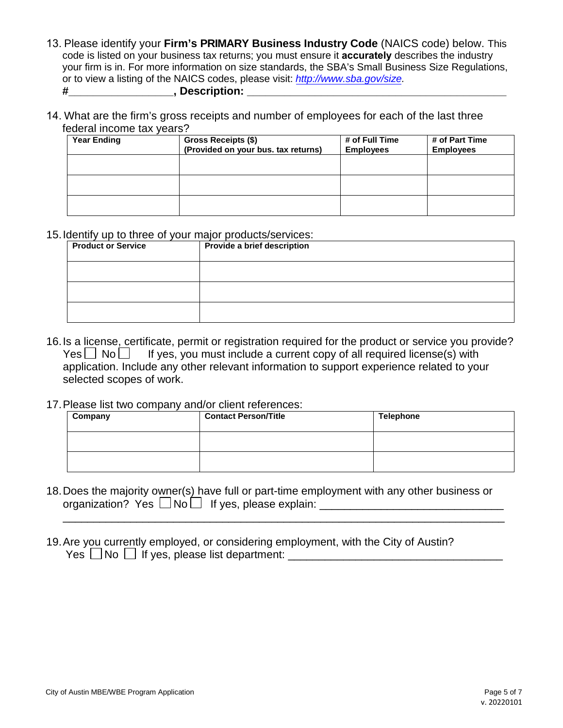- 13. Please identify your **Firm's PRIMARY Business Industry Code** (NAICS code) below. This code is listed on your business tax returns; you must ensure it **accurately** describes the industry your firm is in. For more information on size standards, the SBA's Small Business Size Regulations, or to view a listing of the NAICS codes, please visit: *http://www.sba.gov/size.* **#\_\_\_\_\_\_\_\_\_\_\_\_\_\_\_\_\_, Description: \_\_\_\_\_\_\_\_\_\_\_\_\_\_\_\_\_\_\_\_\_\_\_\_\_\_\_\_\_\_\_\_\_\_\_\_\_\_\_\_\_\_**
- 14. What are the firm's gross receipts and number of employees for each of the last three federal income tax years?

| <b>Year Ending</b> | Gross Receipts (\$)<br>(Provided on your bus. tax returns) | # of Full Time<br><b>Employees</b> | # of Part Time<br><b>Employees</b> |
|--------------------|------------------------------------------------------------|------------------------------------|------------------------------------|
|                    |                                                            |                                    |                                    |
|                    |                                                            |                                    |                                    |
|                    |                                                            |                                    |                                    |

### 15.Identify up to three of your major products/services:

| <b>Product or Service</b> | Provide a brief description |
|---------------------------|-----------------------------|
|                           |                             |
|                           |                             |
|                           |                             |

- 16.Is a license, certificate, permit or registration required for the product or service you provide?  $Yes \Box No \Box$  If yes, you must include a current copy of all required license(s) with application. Include any other relevant information to support experience related to your selected scopes of work.
- 17.Please list two company and/or client references:

| Company | <b>Contact Person/Title</b> | <b>Telephone</b> |
|---------|-----------------------------|------------------|
|         |                             |                  |
|         |                             |                  |

18.Does the majority owner(s) have full or part-time employment with any other business or organization? Yes  $\Box$  No  $\Box$  If yes, please explain:  $\Box$ 

\_\_\_\_\_\_\_\_\_\_\_\_\_\_\_\_\_\_\_\_\_\_\_\_\_\_\_\_\_\_\_\_\_\_\_\_\_\_\_\_\_\_\_\_\_\_\_\_\_\_\_\_\_\_\_\_\_\_\_\_\_\_\_\_\_\_\_\_\_\_\_\_

19.Are you currently employed, or considering employment, with the City of Austin? Yes  $\Box$  No  $\Box$  If yes, please list department: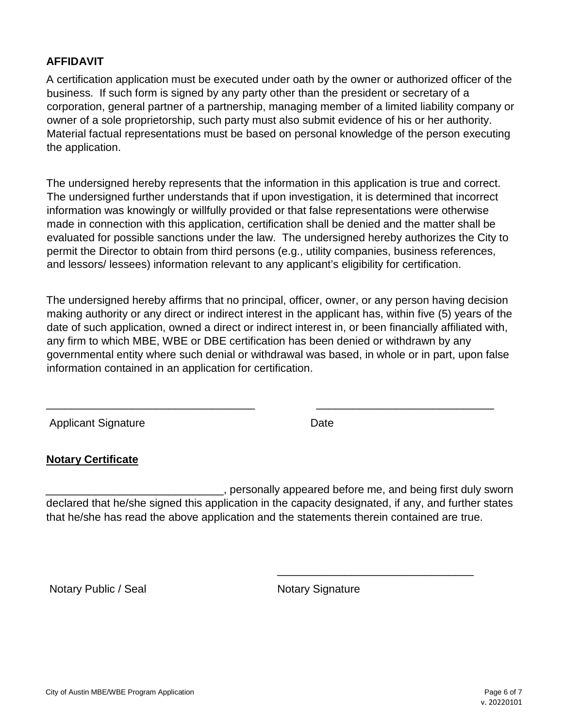### **AFFIDAVIT**

A certification application must be executed under oath by the owner or authorized officer of the business. If such form is signed by any party other than the president or secretary of a corporation, general partner of a partnership, managing member of a limited liability company or owner of a sole proprietorship, such party must also submit evidence of his or her authority. Material factual representations must be based on personal knowledge of the person executing the application.

The undersigned hereby represents that the information in this application is true and correct. The undersigned further understands that if upon investigation, it is determined that incorrect information was knowingly or willfully provided or that false representations were otherwise made in connection with this application, certification shall be denied and the matter shall be evaluated for possible sanctions under the law. The undersigned hereby authorizes the City to permit the Director to obtain from third persons (e.g., utility companies, business references, and lessors/ lessees) information relevant to any applicant's eligibility for certification.

The undersigned hereby affirms that no principal, officer, owner, or any person having decision making authority or any direct or indirect interest in the applicant has, within five (5) years of the date of such application, owned a direct or indirect interest in, or been financially affiliated with, any firm to which MBE, WBE or DBE certification has been denied or withdrawn by any governmental entity where such denial or withdrawal was based, in whole or in part, upon false information contained in an application for certification.

\_\_\_\_\_\_\_\_\_\_\_\_\_\_\_\_\_\_\_\_\_\_\_\_\_\_\_\_\_\_\_\_\_\_ \_\_\_\_\_\_\_\_\_\_\_\_\_\_\_\_\_\_\_\_\_\_\_\_\_\_\_\_\_

Applicant Signature Date

# **Notary Certificate**

\_\_\_\_\_\_\_\_\_\_\_\_\_\_\_\_\_\_\_\_\_\_\_\_\_\_\_\_\_, personally appeared before me, and being first duly sworn declared that he/she signed this application in the capacity designated, if any, and further states that he/she has read the above application and the statements therein contained are true.

Notary Public / Seal Notary Signature

\_\_\_\_\_\_\_\_\_\_\_\_\_\_\_\_\_\_\_\_\_\_\_\_\_\_\_\_\_\_\_\_